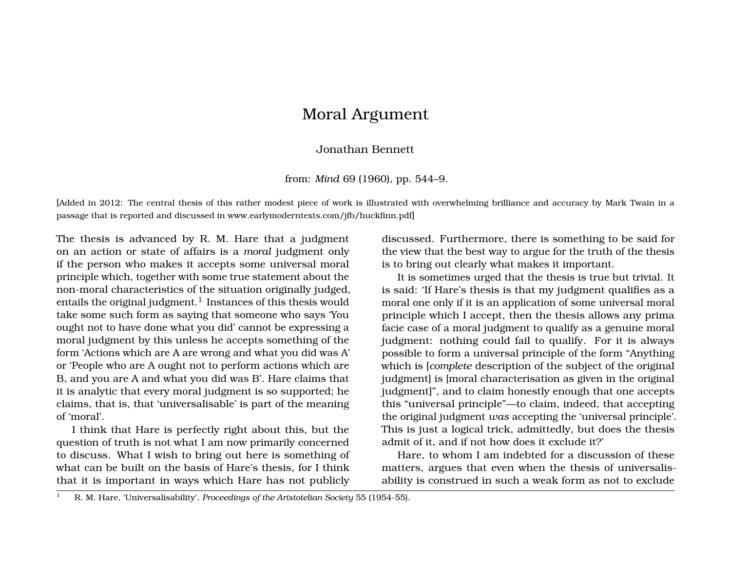## Moral Argument

## Jonathan Bennett

## from: *Mind* 69 (1960), pp. 544–9.

[Added in 2012: The central thesis of this rather modest piece of work is illustrated with overwhelming brilliance and accuracy by Mark Twain in a passage that is reported and discussed in www.earlymoderntexts.com/jfb/huckfinn.pdf]

The thesis is advanced by R. M. Hare that a judgment on an action or state of affairs is a *moral* judgment only if the person who makes it accepts some universal moral principle which, together with some true statement about the non-moral characteristics of the situation originally judged, entails the original judgment. $^{\rm l}$  Instances of this thesis would take some such form as saying that someone who says 'You ought not to have done what you did' cannot be expressing a moral judgment by this unless he accepts something of the form 'Actions which are A are wrong and what you did was A' or 'People who are A ought not to perform actions which are B, and you are A and what you did was B'. Hare claims that it is analytic that every moral judgment is so supported; he claims, that is, that 'universalisable' is part of the meaning of 'moral'.

I think that Hare is perfectly right about this, but the question of truth is not what I am now primarily concerned to discuss. What I wish to bring out here is something of what can be built on the basis of Hare's thesis, for I think that it is important in ways which Hare has not publicly

discussed. Furthermore, there is something to be said for the view that the best way to argue for the truth of the thesis is to bring out clearly what makes it important.

It is sometimes urged that the thesis is true but trivial. It is said: 'If Hare's thesis is that my judgment qualifies as a moral one only if it is an application of some universal moral principle which I accept, then the thesis allows any prima facie case of a moral judgment to qualify as a genuine moral judgment: nothing could fail to qualify. For it is always possible to form a universal principle of the form "Anything which is [*complete* description of the subject of the original judgment] is [moral characterisation as given in the original judgment]", and to claim honestly enough that one accepts this "universal principle"—to claim, indeed, that accepting the original judgment *was* accepting the 'universal principle'. This is just a logical trick, admittedly, but does the thesis admit of it, and if not how does it exclude it?'

Hare, to whom I am indebted for a discussion of these matters, argues that even when the thesis of universalisability is construed in such a weak form as not to exclude

<sup>1</sup> R. M. Hare, 'Universalisability', *Proceedings of the Aristotelian Society* 55 (1954-55).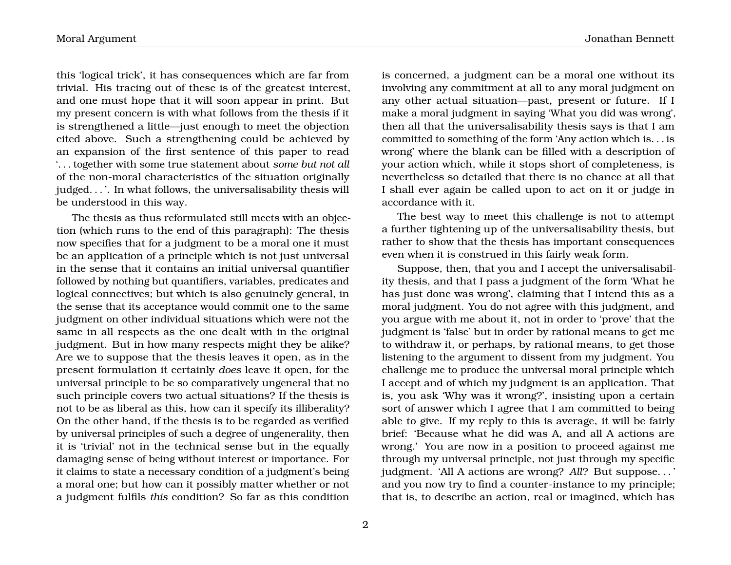this 'logical trick', it has consequences which are far from trivial. His tracing out of these is of the greatest interest, and one must hope that it will soon appear in print. But my present concern is with what follows from the thesis if it is strengthened a little—just enough to meet the objection cited above. Such a strengthening could be achieved by an expansion of the first sentence of this paper to read '. . . together with some true statement about *some but not all* of the non-moral characteristics of the situation originally judged. . . '. In what follows, the universalisability thesis will be understood in this way.

The thesis as thus reformulated still meets with an objection (which runs to the end of this paragraph): The thesis now specifies that for a judgment to be a moral one it must be an application of a principle which is not just universal in the sense that it contains an initial universal quantifier followed by nothing but quantifiers, variables, predicates and logical connectives; but which is also genuinely general, in the sense that its acceptance would commit one to the same judgment on other individual situations which were not the same in all respects as the one dealt with in the original judgment. But in how many respects might they be alike? Are we to suppose that the thesis leaves it open, as in the present formulation it certainly *does* leave it open, for the universal principle to be so comparatively ungeneral that no such principle covers two actual situations? If the thesis is not to be as liberal as this, how can it specify its illiberality? On the other hand, if the thesis is to be regarded as verified by universal principles of such a degree of ungenerality, then it is 'trivial' not in the technical sense but in the equally damaging sense of being without interest or importance. For it claims to state a necessary condition of a judgment's being a moral one; but how can it possibly matter whether or not a judgment fulfils *this* condition? So far as this condition is concerned, a judgment can be a moral one without its involving any commitment at all to any moral judgment on any other actual situation—past, present or future. If I make a moral judgment in saying 'What you did was wrong', then all that the universalisability thesis says is that I am committed to something of the form 'Any action which is. . . is wrong' where the blank can be filled with a description of your action which, while it stops short of completeness, is nevertheless so detailed that there is no chance at all that I shall ever again be called upon to act on it or judge in

The best way to meet this challenge is not to attempt a further tightening up of the universalisability thesis, but rather to show that the thesis has important consequences even when it is construed in this fairly weak form.

accordance with it.

Suppose, then, that you and I accept the universalisability thesis, and that I pass a judgment of the form 'What he has just done was wrong', claiming that I intend this as a moral judgment. You do not agree with this judgment, and you argue with me about it, not in order to 'prove' that the judgment is 'false' but in order by rational means to get me to withdraw it, or perhaps, by rational means, to get those listening to the argument to dissent from my judgment. You challenge me to produce the universal moral principle which I accept and of which my judgment is an application. That is, you ask 'Why was it wrong?', insisting upon a certain sort of answer which I agree that I am committed to being able to give. If my reply to this is average, it will be fairly brief: 'Because what he did was A, and all A actions are wrong.' You are now in a position to proceed against me through my universal principle, not just through my specific judgment. 'All A actions are wrong? *All*? But suppose. . . ' and you now try to find a counter-instance to my principle; that is, to describe an action, real or imagined, which has

2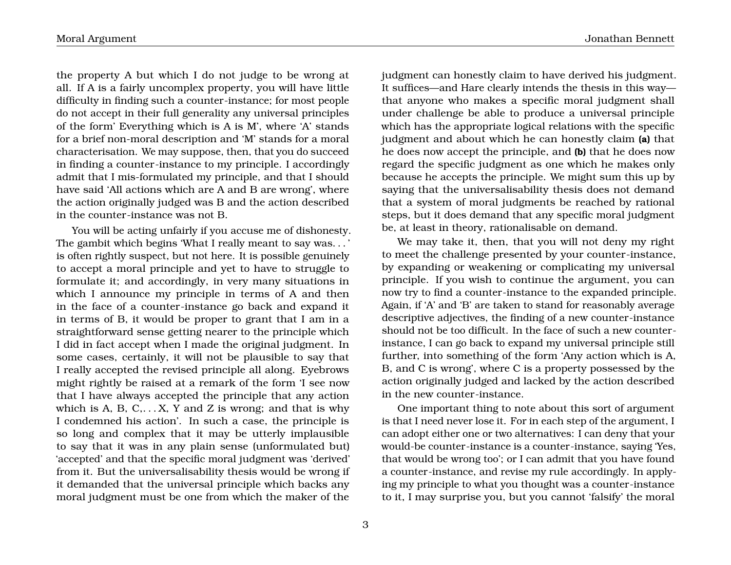the property A but which I do not judge to be wrong at all. If A is a fairly uncomplex property, you will have little difficulty in finding such a counter-instance; for most people do not accept in their full generality any universal principles of the form' Everything which is A is M', where 'A' stands for a brief non-moral description and 'M' stands for a moral characterisation. We may suppose, then, that you do succeed in finding a counter-instance to my principle. I accordingly admit that I mis-formulated my principle, and that I should have said 'All actions which are A and B are wrong', where the action originally judged was B and the action described in the counter-instance was not B.

You will be acting unfairly if you accuse me of dishonesty. The gambit which begins 'What I really meant to say was. . . ' is often rightly suspect, but not here. It is possible genuinely to accept a moral principle and yet to have to struggle to formulate it; and accordingly, in very many situations in which I announce my principle in terms of A and then in the face of a counter-instance go back and expand it in terms of B, it would be proper to grant that I am in a straightforward sense getting nearer to the principle which I did in fact accept when I made the original judgment. In some cases, certainly, it will not be plausible to say that I really accepted the revised principle all along. Eyebrows might rightly be raised at a remark of the form 'I see now that I have always accepted the principle that any action which is A, B, C,... X, Y and Z is wrong; and that is why I condemned his action'. In such a case, the principle is so long and complex that it may be utterly implausible to say that it was in any plain sense (unformulated but) 'accepted' and that the specific moral judgment was 'derived' from it. But the universalisability thesis would be wrong if it demanded that the universal principle which backs any moral judgment must be one from which the maker of the

judgment can honestly claim to have derived his judgment. It suffices—and Hare clearly intends the thesis in this way that anyone who makes a specific moral judgment shall under challenge be able to produce a universal principle which has the appropriate logical relations with the specific judgment and about which he can honestly claim **(a)** that he does now accept the principle, and **(b)** that he does now regard the specific judgment as one which he makes only because he accepts the principle. We might sum this up by saying that the universalisability thesis does not demand that a system of moral judgments be reached by rational steps, but it does demand that any specific moral judgment be, at least in theory, rationalisable on demand.

We may take it, then, that you will not deny my right to meet the challenge presented by your counter-instance, by expanding or weakening or complicating my universal principle. If you wish to continue the argument, you can now try to find a counter-instance to the expanded principle. Again, if 'A' and 'B' are taken to stand for reasonably average descriptive adjectives, the finding of a new counter-instance should not be too difficult. In the face of such a new counterinstance, I can go back to expand my universal principle still further, into something of the form 'Any action which is A, B, and C is wrong', where C is a property possessed by the action originally judged and lacked by the action described in the new counter-instance.

One important thing to note about this sort of argument is that I need never lose it. For in each step of the argument, I can adopt either one or two alternatives: I can deny that your would-be counter-instance is a counter-instance, saying 'Yes, that would be wrong too'; or I can admit that you have found a counter-instance, and revise my rule accordingly. In applying my principle to what you thought was a counter-instance to it, I may surprise you, but you cannot 'falsify' the moral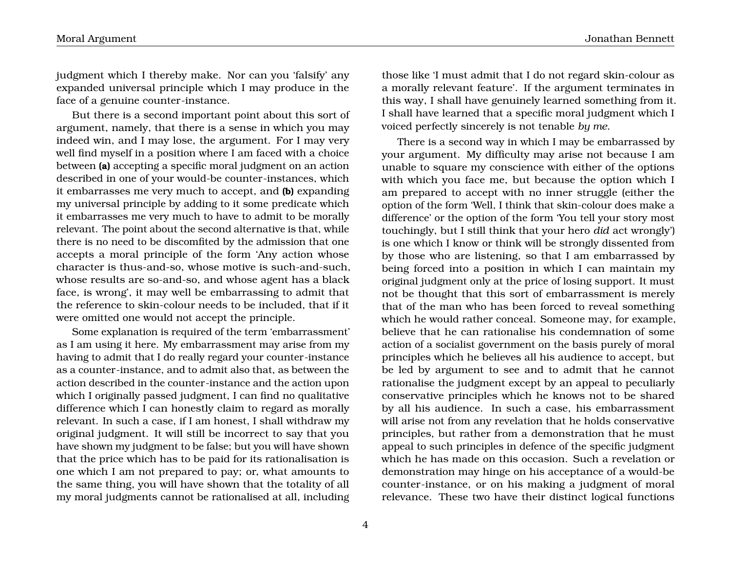judgment which I thereby make. Nor can you 'falsify' any expanded universal principle which I may produce in the face of a genuine counter-instance.

But there is a second important point about this sort of argument, namely, that there is a sense in which you may indeed win, and I may lose, the argument. For I may very well find myself in a position where I am faced with a choice between **(a)** accepting a specific moral judgment on an action described in one of your would-be counter-instances, which it embarrasses me very much to accept, and **(b)** expanding my universal principle by adding to it some predicate which it embarrasses me very much to have to admit to be morally relevant. The point about the second alternative is that, while there is no need to be discomfited by the admission that one accepts a moral principle of the form 'Any action whose character is thus-and-so, whose motive is such-and-such, whose results are so-and-so, and whose agent has a black face, is wrong', it may well be embarrassing to admit that the reference to skin-colour needs to be included, that if it were omitted one would not accept the principle.

Some explanation is required of the term 'embarrassment' as I am using it here. My embarrassment may arise from my having to admit that I do really regard your counter-instance as a counter-instance, and to admit also that, as between the action described in the counter-instance and the action upon which I originally passed judgment, I can find no qualitative difference which I can honestly claim to regard as morally relevant. In such a case, if I am honest, I shall withdraw my original judgment. It will still be incorrect to say that you have shown my judgment to be false; but you will have shown that the price which has to be paid for its rationalisation is one which I am not prepared to pay; or, what amounts to the same thing, you will have shown that the totality of all my moral judgments cannot be rationalised at all, including those like 'I must admit that I do not regard skin-colour as a morally relevant feature'. If the argument terminates in this way, I shall have genuinely learned something from it. I shall have learned that a specific moral judgment which I voiced perfectly sincerely is not tenable *by me*.

There is a second way in which I may be embarrassed by your argument. My difficulty may arise not because I am unable to square my conscience with either of the options with which you face me, but because the option which I am prepared to accept with no inner struggle (either the option of the form 'Well, I think that skin-colour does make a difference' or the option of the form 'You tell your story most touchingly, but I still think that your hero *did* act wrongly') is one which I know or think will be strongly dissented from by those who are listening, so that I am embarrassed by being forced into a position in which I can maintain my original judgment only at the price of losing support. It must not be thought that this sort of embarrassment is merely that of the man who has been forced to reveal something which he would rather conceal. Someone may, for example, believe that he can rationalise his condemnation of some action of a socialist government on the basis purely of moral principles which he believes all his audience to accept, but be led by argument to see and to admit that he cannot rationalise the judgment except by an appeal to peculiarly conservative principles which he knows not to be shared by all his audience. In such a case, his embarrassment will arise not from any revelation that he holds conservative principles, but rather from a demonstration that he must appeal to such principles in defence of the specific judgment which he has made on this occasion. Such a revelation or demonstration may hinge on his acceptance of a would-be counter-instance, or on his making a judgment of moral relevance. These two have their distinct logical functions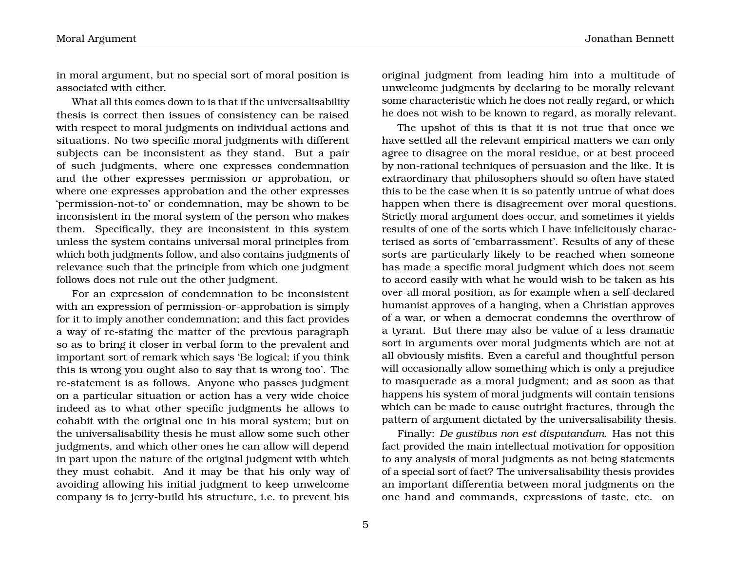in moral argument, but no special sort of moral position is associated with either.

What all this comes down to is that if the universalisability thesis is correct then issues of consistency can be raised with respect to moral judgments on individual actions and situations. No two specific moral judgments with different subjects can be inconsistent as they stand. But a pair of such judgments, where one expresses condemnation and the other expresses permission or approbation, or where one expresses approbation and the other expresses 'permission-not-to' or condemnation, may be shown to be inconsistent in the moral system of the person who makes them. Specifically, they are inconsistent in this system unless the system contains universal moral principles from which both judgments follow, and also contains judgments of relevance such that the principle from which one judgment follows does not rule out the other judgment.

For an expression of condemnation to be inconsistent with an expression of permission-or-approbation is simply for it to imply another condemnation; and this fact provides a way of re-stating the matter of the previous paragraph so as to bring it closer in verbal form to the prevalent and important sort of remark which says 'Be logical; if you think this is wrong you ought also to say that is wrong too'. The re-statement is as follows. Anyone who passes judgment on a particular situation or action has a very wide choice indeed as to what other specific judgments he allows to cohabit with the original one in his moral system; but on the universalisability thesis he must allow some such other judgments, and which other ones he can allow will depend in part upon the nature of the original judgment with which they must cohabit. And it may be that his only way of avoiding allowing his initial judgment to keep unwelcome company is to jerry-build his structure, i.e. to prevent his

original judgment from leading him into a multitude of unwelcome judgments by declaring to be morally relevant some characteristic which he does not really regard, or which he does not wish to be known to regard, as morally relevant.

The upshot of this is that it is not true that once we have settled all the relevant empirical matters we can only agree to disagree on the moral residue, or at best proceed by non-rational techniques of persuasion and the like. It is extraordinary that philosophers should so often have stated this to be the case when it is so patently untrue of what does happen when there is disagreement over moral questions. Strictly moral argument does occur, and sometimes it yields results of one of the sorts which I have infelicitously characterised as sorts of 'embarrassment'. Results of any of these sorts are particularly likely to be reached when someone has made a specific moral judgment which does not seem to accord easily with what he would wish to be taken as his over-all moral position, as for example when a self-declared humanist approves of a hanging, when a Christian approves of a war, or when a democrat condemns the overthrow of a tyrant. But there may also be value of a less dramatic sort in arguments over moral judgments which are not at all obviously misfits. Even a careful and thoughtful person will occasionally allow something which is only a prejudice to masquerade as a moral judgment; and as soon as that happens his system of moral judgments will contain tensions which can be made to cause outright fractures, through the pattern of argument dictated by the universalisability thesis.

Finally: *De gustibus non est disputandum*. Has not this fact provided the main intellectual motivation for opposition to any analysis of moral judgments as not being statements of a special sort of fact? The universalisability thesis provides an important differentia between moral judgments on the one hand and commands, expressions of taste, etc. on